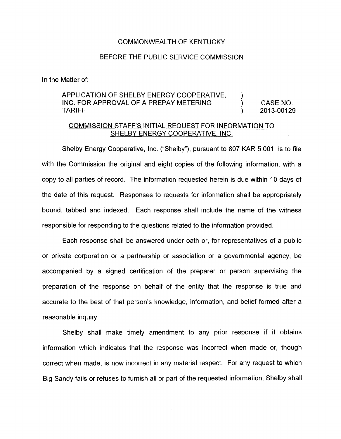## COMMONWEALTH OF KENTUCKY

## BEFORE THE PUBLIC SERVICE COMMISSION

In the Matter of:

## APPLICATION OF SHELBY ENERGY COOPERATIVE, APPLICATION OF SHELBY ENERGY COOPERATIVE,  $\overline{a}$  ) CASE NO.<br>INC. FOR APPROVAL OF A PREPAY METERING  $\overline{a}$  ) 2013-00129  $)$  2013-00129

## COMMISSION STAFF'S INITIAL REQUEST FOR INFORMATION TO SHELBY ENERGY COOPERATIVE, INC.

Shelby Energy Cooperative, Inc. ("Shelby"), pursuant to 807 KAR 5:001, is to file with the Commission the original and eight copies of the following information, with a copy to all parties of record. The information requested herein is due within 10 days of the date of this request. Responses to requests for information shall be appropriately bound, tabbed and indexed. Each response shall include the name of the witness responsible for responding to the questions related to the information provided.

Each response shall be answered under oath or, for representatives of a public or private corporation or a partnership or association or a governmental agency, be accompanied by a signed certification of the preparer or person supervising the preparation of the response on behalf of the entity that the response is true and accurate to the best of that person's knowledge, information, and belief formed after a reasonable inquiry

Shelby shall make timely amendment to any prior response if it obtains information which indicates that the response was incorrect when made or, though correct when made, is now incorrect in any material respect. For any request to which Big Sandy fails or refuses to furnish all or part of the requested information, Shelby shall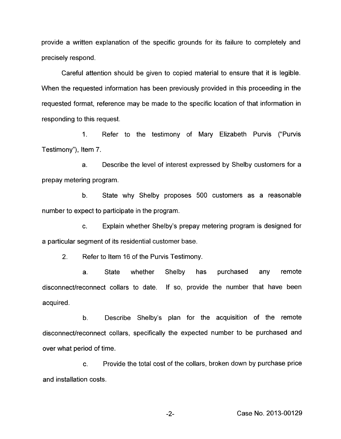provide a written explanation of the specific grounds for its failure to completely and precisely respond.

Careful attention should be given to copied material to ensure that it is legible. When the requested information has been previously provided in this proceeding in the requested format, reference may be made to the specific location of that information in responding to this request.

1. Refer to the testimony of Mary Elizabeth Purvis ("Purvis Testimony"), Item 7.

a. Describe the level of interest expressed by Shelby customers for a prepay metering program.

b. State why Shelby proposes 500 customers as a reasonable number to expect to participate in the program.

c. Explain whether Shelby's prepay metering program is designed for a particular segment of its residential customer base.

2. Refer to item 16 of the Purvis Testimony.

a. State whether Shelby has purchased any remote disconnect/reconnect collars to date. If so, provide the number that have been acquired.

b. Describe Shelby's plan for the acquisition of the remote disconnect/reconnect collars, specifically the expected number to be purchased and over what period of time.

c. Provide the total cost of the collars, broken down by purchase price and installation costs.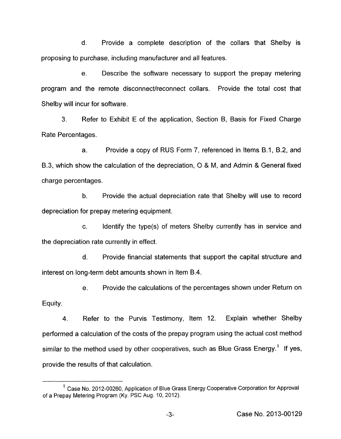d. Provide a complete description of the collars that Shelby is proposing to purchase, including manufacturer and all features.

e. Describe the software necessary to support the prepay metering program and the remote disconnect/reconnect collars. Provide the total cost that Shelby will incur for software.

3. Refer to Exhibit E of the application, Section B, Basis for Fixed Charge Rate Percentages.

a. Provide a copy of RUS Form 7, referenced in Items B.l, B.2, and B.3, which show the calculation of the depreciation, 0 & **M,** and Admin & General fixed charge percentages.

b. Provide the actual depreciation rate that Shelby will use to record depreciation for prepay metering equipment.

c. Identify the type(s) of meters Shelby currently has in service and the depreciation rate currently in effect.

d. Provide financial statements that support the capital structure and interest on long-term debt amounts shown in Item B.4.

e. Provide the calculations of the percentages shown under Return on

Equity.

**4.** Refer to the Purvis Testimony, Item 12. Explain whether Shelby performed a calculation of the costs of the prepay program using the actual cost method similar to the method used by other cooperatives, such as Blue Grass Energy.<sup>1</sup> If yes, provide the results of that calculation.

 $<sup>1</sup>$  Case No. 2012-00260, Application of Blue Grass Energy Cooperative Corporation for Approval</sup> of a Prepay Metering Program (Ky. PSC Aug. 10, 2012).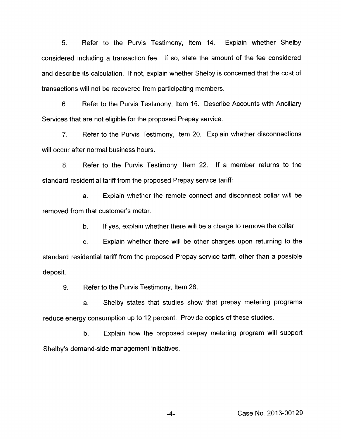5. Refer to the Purvis Testimony, Item 14. Explain whether Shelby considered including a transaction fee. If so, state the amount of the fee considered and describe its calculation. If not, explain whether Shelby is concerned that the cost of transactions will not be recovered from participating members.

6. Refer to the Purvis Testimony, Item 15. Describe Accounts with Ancillary Services that are not eligible for the proposed Prepay service.

7. Refer to the Purvis Testimony, Item 20. Explain whether disconnections will occur after normal business hours.

*8.* Refer to the Purvis Testimony, Item 22. If a member returns to the standard residential tariff from the proposed Prepay service tariff:

a. Explain whether the remote connect and disconnect collar will be removed from that customer's meter.

> b. If yes, explain whether there will be a charge to remove the collar.

c. Explain whether there will be other charges upon returning to the standard residential tariff from the proposed Prepay service tariff, other than a possible deposit.

9. Refer to the Purvis Testimony, Item 26.

a. Shelby states that studies show that prepay metering programs reduce energy consumption up to 12 percent. Provide copies of these studies.

b. Explain how the proposed prepay metering program will support Shelby's demand-side management initiatives.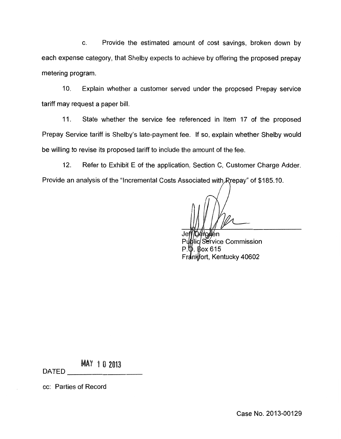c. Provide the estimated amount of cost savings, broken down by each expense category, that Shelby expects to achieve by offering the proposed prepay metering program.

IO. Explain whether a customer served under the proposed Prepay service tariff may request a paper bill.

11. State whether the service fee referenced in Item 17 of the proposed Prepay Service tariff is Shelby's late-payment fee. If so, explain whether Shelby would be willing to revise its proposed tariff to include the amount of the fee.

12. Refer to Exhibit E of the application, Section C, Customer Charge Adder. Provide an analysis of the "Incremental Costs Associated with Rrepay" of \$185.10.

**Dérodén** Public Service Commission  $P.\mathsf{\$}$ . Box 615 Frankfort, Kentucky 40602

**MAY 10 2013** 

DATED

cc: Parties of Record